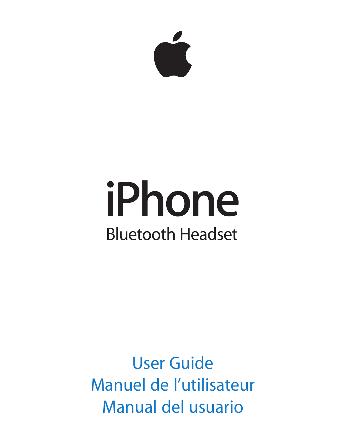

# iPhone **Bluetooth Headset**

User Guide Manuel de l'utilisateur Manual del usuario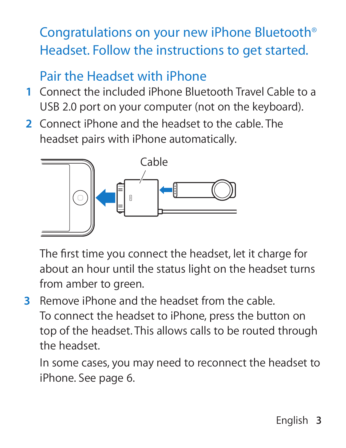# Congratulations on your new iPhone Bluetooth® Headset. Follow the instructions to get started.

## Pair the Headset with iPhone

- **1** Connect the included iPhone Bluetooth Travel Cable to a USB 2.0 port on your computer (not on the keyboard).
- **2** Connect iPhone and the headset to the cable. The headset pairs with iPhone automatically.



The first time you connect the headset, let it charge for about an hour until the status light on the headset turns from amber to green.

**3** Remove iPhone and the headset from the cable. To connect the headset to iPhone, press the button on top of the headset. This allows calls to be routed through the headset.

In some cases, you may need to reconnect the headset to iPhone. See page 6.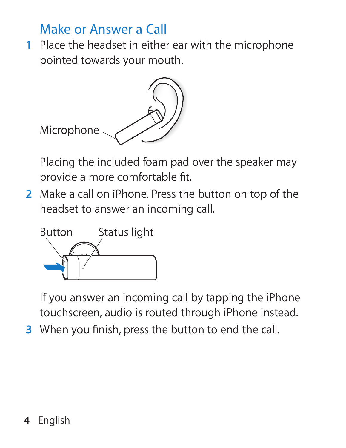#### Make or Answer a Call

 **1** Place the headset in either ear with the microphone pointed towards your mouth.



Placing the included foam pad over the speaker may provide a more comfortable fit.

 **2** Make a call on iPhone. Press the button on top of the headset to answer an incoming call.



If you answer an incoming call by tapping the iPhone touchscreen, audio is routed through iPhone instead.

**3** When you finish, press the button to end the call.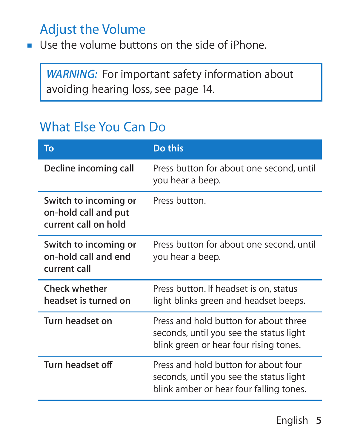# Adjust the Volume

**D** Use the volume buttons on the side of iPhone.

**WARNING:** For important safety information about avoiding hearing loss, see page 14.

# What Else You Can Do

| To                                                                    | Do this                                                                                                                    |
|-----------------------------------------------------------------------|----------------------------------------------------------------------------------------------------------------------------|
| Decline incoming call                                                 | Press button for about one second, until<br>you hear a beep.                                                               |
| Switch to incoming or<br>on-hold call and put<br>current call on hold | Press button.                                                                                                              |
| Switch to incoming or<br>on-hold call and end<br>current call         | Press button for about one second, until<br>you hear a beep.                                                               |
| Check whether<br>headset is turned on                                 | Press button. If headset is on, status<br>light blinks green and headset beeps.                                            |
| Turn headset on                                                       | Press and hold button for about three<br>seconds, until you see the status light<br>blink green or hear four rising tones. |
| Turn headset off                                                      | Press and hold button for about four<br>seconds, until you see the status light<br>blink amber or hear four falling tones. |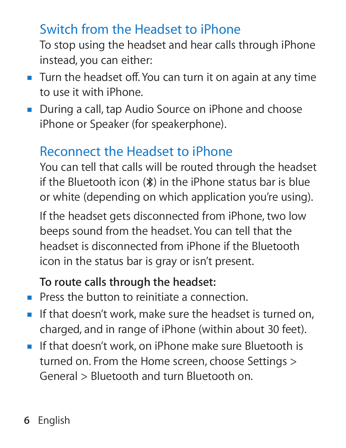## Switch from the Headset to iPhone

To stop using the headset and hear calls through iPhone instead, you can either:

- Turn the headset off. You can turn it on again at any time to use it with iPhone.
- During a call, tap Audio Source on iPhone and choose iPhone or Speaker (for speakerphone).

# Reconnect the Headset to iPhone

You can tell that calls will be routed through the headset if the Bluetooth icon (◊) in the iPhone status bar is blue or white (depending on which application you're using).

If the headset gets disconnected from iPhone, two low beeps sound from the headset. You can tell that the headset is disconnected from iPhone if the Bluetooth icon in the status bar is gray or isn't present.

#### **To route calls through the headset:**

- **Press the button to reinitiate a connection.**
- $\blacksquare$  If that doesn't work, make sure the headset is turned on, charged, and in range of iPhone (within about 30 feet).
- **F** If that doesn't work, on iPhone make sure Bluetooth is turned on. From the Home screen, choose Settings > General > Bluetooth and turn Bluetooth on.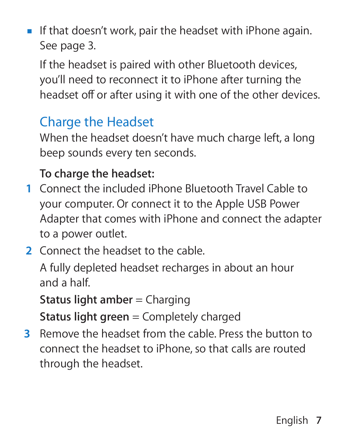**F** If that doesn't work, pair the headset with iPhone again. See page 3.

If the headset is paired with other Bluetooth devices, you'll need to reconnect it to iPhone after turning the headset off or after using it with one of the other devices.

## Charge the Headset

When the headset doesn't have much charge left, a long beep sounds every ten seconds.

#### **To charge the headset:**

- **1** Connect the included iPhone Bluetooth Travel Cable to your computer. Or connect it to the Apple USB Power Adapter that comes with iPhone and connect the adapter to a power outlet.
- **2** Connect the headset to the cable.

A fully depleted headset recharges in about an hour and a half.

**Status light amber = Charging** 

**Status light green** = Completely charged

**3** Remove the headset from the cable. Press the button to connect the headset to iPhone, so that calls are routed through the headset.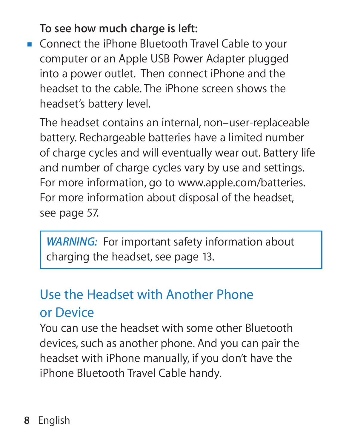**To see how much charge is left:**

**Connect the iPhone Bluetooth Travel Cable to your** computer or an Apple USB Power Adapter plugged into a power outlet. Then connect iPhone and the headset to the cable. The iPhone screen shows the headset's battery level.

The headset contains an internal, non–user-replaceable battery. Rechargeable batteries have a limited number of charge cycles and will eventually wear out. Battery life and number of charge cycles vary by use and settings. For more information, go to www.apple.com/batteries. For more information about disposal of the headset, see page 57.

*WARNING:* For important safety information about charging the headset, see page 13.

## Use the Headset with Another Phone or Device

You can use the headset with some other Bluetooth devices, such as another phone. And you can pair the headset with iPhone manually, if you don't have the iPhone Bluetooth Travel Cable handy.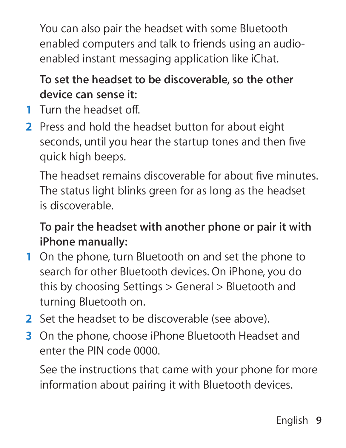You can also pair the headset with some Bluetooth enabled computers and talk to friends using an audioenabled instant messaging application like iChat.

#### **To set the headset to be discoverable, so the other device can sense it:**

- **1** Turn the headset off
- **2** Press and hold the headset button for about eight seconds, until you hear the startup tones and then five quick high beeps.

The headset remains discoverable for about five minutes The status light blinks green for as long as the headset is discoverable.

**To pair the headset with another phone or pair it with iPhone manually:**

- **1** On the phone, turn Bluetooth on and set the phone to search for other Bluetooth devices. On iPhone, you do this by choosing Settings > General > Bluetooth and turning Bluetooth on.
- **2** Set the headset to be discoverable (see above).
- **3** On the phone, choose iPhone Bluetooth Headset and enter the PIN code 0000.

See the instructions that came with your phone for more information about pairing it with Bluetooth devices.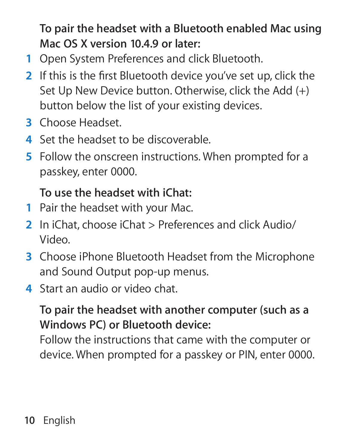**To pair the headset with a Bluetooth enabled Mac using Mac OS X version 10.4.9 or later:**

- **1** Open System Preferences and click Bluetooth.
- **2** If this is the first Bluetooth device you've set up, click the Set Up New Device button. Otherwise, click the Add (+) button below the list of your existing devices.
- **3** Choose Headset.
- **4** Set the headset to be discoverable.
- **5** Follow the onscreen instructions. When prompted for a passkey, enter 0000.

#### **To use the headset with iChat:**

- **1** Pair the headset with your Mac.
- **2** In iChat, choose iChat > Preferences and click Audio/ Video.
- **3** Choose iPhone Bluetooth Headset from the Microphone and Sound Output pop-up menus.
- **4** Start an audio or video chat.

#### **To pair the headset with another computer (such as a Windows PC) or Bluetooth device:**

Follow the instructions that came with the computer or device. When prompted for a passkey or PIN, enter 0000.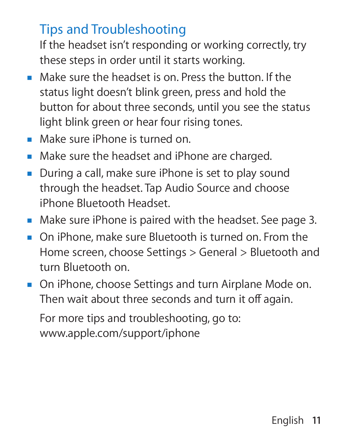## Tips and Troubleshooting

If the headset isn't responding or working correctly, try these steps in order until it starts working.

- Make sure the headset is on. Press the button. If the status light doesn't blink green, press and hold the button for about three seconds, until you see the status light blink green or hear four rising tones.
- Make sure iPhone is turned on.
- **Make sure the headset and iPhone are charged.**
- During a call, make sure iPhone is set to play sound through the headset. Tap Audio Source and choose iPhone Bluetooth Headset.
- m Make sure iPhone is paired with the headset. See page 3.
- **DR** On iPhone, make sure Bluetooth is turned on. From the Home screen, choose Settings > General > Bluetooth and turn Bluetooth on.
- **DR** On iPhone, choose Settings and turn Airplane Mode on. Then wait about three seconds and turn it off again.

For more tips and troubleshooting, go to: www.apple.com/support/iphone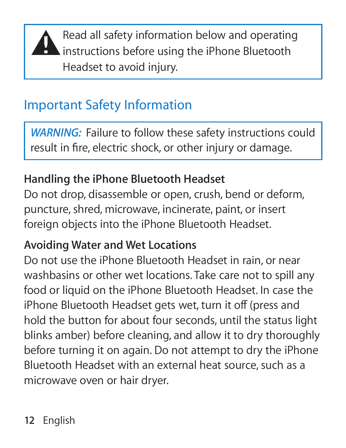

**A** Read all safety information below and operating<br>instructions before using the iPhone Bluetooth Headset to avoid injury.

## Important Safety Information

*WARNING:* Failure to follow these safety instructions could result in fire, electric shock, or other injury or damage.

#### **Handling the iPhone Bluetooth Headset**

Do not drop, disassemble or open, crush, bend or deform, puncture, shred, microwave, incinerate, paint, or insert foreign objects into the iPhone Bluetooth Headset.

#### **Avoiding Water and Wet Locations**

Do not use the iPhone Bluetooth Headset in rain, or near washbasins or other wet locations. Take care not to spill any food or liquid on the iPhone Bluetooth Headset. In case the iPhone Bluetooth Headset gets wet, turn it off (press and hold the button for about four seconds, until the status light blinks amber) before cleaning, and allow it to dry thoroughly before turning it on again. Do not attempt to dry the iPhone Bluetooth Headset with an external heat source, such as a microwave oven or hair dryer.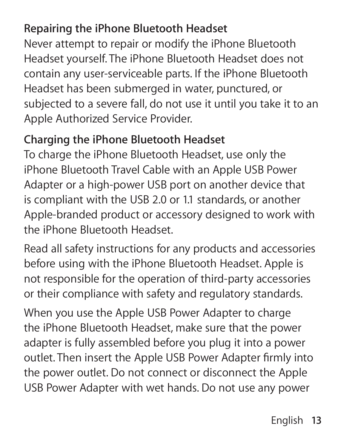#### **Repairing the iPhone Bluetooth Headset**

Never attempt to repair or modify the iPhone Bluetooth Headset yourself. The iPhone Bluetooth Headset does not contain any user-serviceable parts. If the iPhone Bluetooth Headset has been submerged in water, punctured, or subjected to a severe fall, do not use it until you take it to an Apple Authorized Service Provider.

#### **Charging the iPhone Bluetooth Headset**

To charge the iPhone Bluetooth Headset, use only the iPhone Bluetooth Travel Cable with an Apple USB Power Adapter or a high-power USB port on another device that is compliant with the USB 2.0 or 1.1 standards, or another Apple-branded product or accessory designed to work with the iPhone Bluetooth Headset.

Read all safety instructions for any products and accessories before using with the iPhone Bluetooth Headset. Apple is not responsible for the operation of third-party accessories or their compliance with safety and regulatory standards.

When you use the Apple USB Power Adapter to charge the iPhone Bluetooth Headset, make sure that the power adapter is fully assembled before you plug it into a power outlet. Then insert the Apple USB Power Adapter firmly into the power outlet. Do not connect or disconnect the Apple USB Power Adapter with wet hands. Do not use any power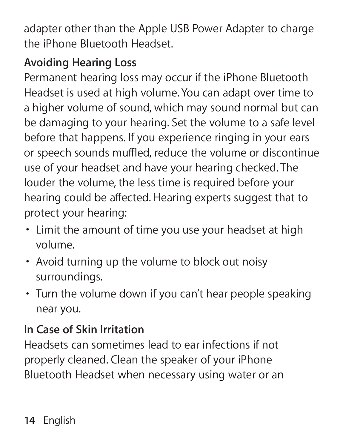adapter other than the Apple USB Power Adapter to charge the iPhone Bluetooth Headset.

## **Avoiding Hearing Loss**

Permanent hearing loss may occur if the iPhone Bluetooth Headset is used at high volume. You can adapt over time to a higher volume of sound, which may sound normal but can be damaging to your hearing. Set the volume to a safe level before that happens. If you experience ringing in your ears or speech sounds muffled, reduce the volume or discontinue use of your headset and have your hearing checked. The louder the volume, the less time is required before your hearing could be affected. Hearing experts suggest that to protect your hearing:

- **Limit the amount of time you use your headset at high** volume.
- Â Avoid turning up the volume to block out noisy surroundings.
- Turn the volume down if you can't hear people speaking near you.

## **In Case of Skin Irritation**

Headsets can sometimes lead to ear infections if not properly cleaned. Clean the speaker of your iPhone Bluetooth Headset when necessary using water or an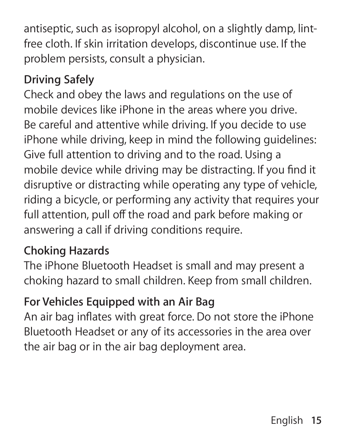antiseptic, such as isopropyl alcohol, on a slightly damp, lintfree cloth. If skin irritation develops, discontinue use. If the problem persists, consult a physician.

## **Driving Safely**

Check and obey the laws and regulations on the use of mobile devices like iPhone in the areas where you drive. Be careful and attentive while driving. If you decide to use iPhone while driving, keep in mind the following guidelines: Give full attention to driving and to the road. Using a mobile device while driving may be distracting. If you find it disruptive or distracting while operating any type of vehicle, riding a bicycle, or performing any activity that requires your full attention, pull off the road and park before making or answering a call if driving conditions require.

#### **Choking Hazards**

The iPhone Bluetooth Headset is small and may present a choking hazard to small children. Keep from small children.

#### **For Vehicles Equipped with an Air Bag**

An air bag inflates with great force. Do not store the iPhone Bluetooth Headset or any of its accessories in the area over the air bag or in the air bag deployment area.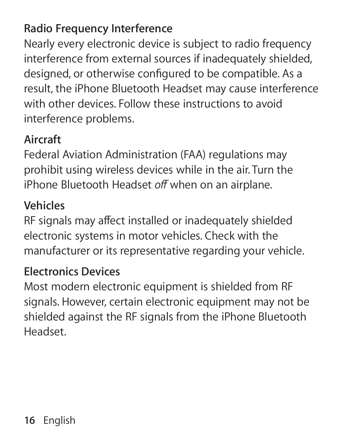#### **Radio Frequency Interference**

Nearly every electronic device is subject to radio frequency interference from external sources if inadequately shielded, designed, or otherwise configured to be compatible. As a result, the iPhone Bluetooth Headset may cause interference with other devices. Follow these instructions to avoid interference problems.

#### **Aircraft**

Federal Aviation Administration (FAA) regulations may prohibit using wireless devices while in the air. Turn the iPhone Bluetooth Headset *o∂* when on an airplane.

#### **Vehicles**

RF signals may affect installed or inadequately shielded electronic systems in motor vehicles. Check with the manufacturer or its representative regarding your vehicle.

## **Electronics Devices**

Most modern electronic equipment is shielded from RF signals. However, certain electronic equipment may not be shielded against the RF signals from the iPhone Bluetooth Headset.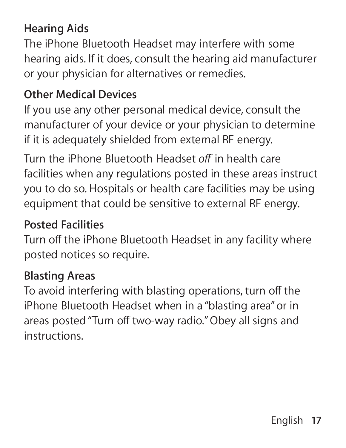#### **Hearing Aids**

The iPhone Bluetooth Headset may interfere with some hearing aids. If it does, consult the hearing aid manufacturer or your physician for alternatives or remedies.

#### **Other Medical Devices**

If you use any other personal medical device, consult the manufacturer of your device or your physician to determine if it is adequately shielded from external RF energy. Turn the iPhone Bluetooth Headset *o∂* in health care facilities when any regulations posted in these areas instruct you to do so. Hospitals or health care facilities may be using equipment that could be sensitive to external RF energy.

#### **Posted Facilities**

Turn off the iPhone Bluetooth Headset in any facility where posted notices so require.

#### **Blasting Areas**

To avoid interfering with blasting operations, turn off the iPhone Bluetooth Headset when in a "blasting area" or in areas posted "Turn off two-way radio." Obey all signs and instructions.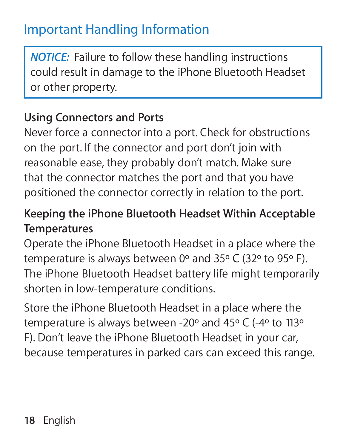## Important Handling Information

*NOTICE:* Failure to follow these handling instructions could result in damage to the iPhone Bluetooth Headset or other property.

#### **Using Connectors and Ports**

Never force a connector into a port. Check for obstructions on the port. If the connector and port don't join with reasonable ease, they probably don't match. Make sure that the connector matches the port and that you have positioned the connector correctly in relation to the port.

#### **Keeping the iPhone Bluetooth Headset Within Acceptable Temperatures**

Operate the iPhone Bluetooth Headset in a place where the temperature is always between 0º and 35º C (32º to 95º F). The iPhone Bluetooth Headset battery life might temporarily shorten in low-temperature conditions.

Store the iPhone Bluetooth Headset in a place where the temperature is always between -20º and 45º C (-4º to 113º F). Don't leave the iPhone Bluetooth Headset in your car, because temperatures in parked cars can exceed this range.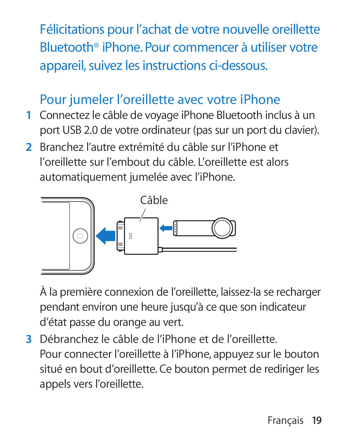Félicitations pour l'achat de votre nouvelle oreillette Bluetooth® iPhone. Pour commencer à utiliser votre appareil, suivez les instructions ci-dessous.

## Pour jumeler l'oreillette avec votre iPhone

- **1** Connectez le câble de voyage iPhone Bluetooth inclus à un port USB 2.0 de votre ordinateur (pas sur un port du clavier).
- **2** Branchez l'autre extrémité du câble sur l'iPhone et l'oreillette sur l'embout du câble. L'oreillette est alors automatiquement jumelée avec l'iPhone.



À la première connexion de l'oreillette, laissez-la se recharger pendant environ une heure jusqu'à ce que son indicateur d'état passe du orange au vert.

 **3** Débranchez le câble de l'iPhone et de l'oreillette. Pour connecter l'oreillette à l'iPhone, appuyez sur le bouton situé en bout d'oreillette. Ce bouton permet de rediriger les appels vers l'oreillette.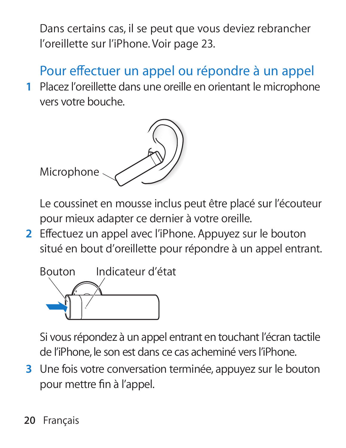Dans certains cas, il se peut que vous deviez rebrancher l'oreillette sur l'iPhone. Voir page 23.

# Pour effectuer un appel ou répondre à un appel

 **1** Placez l'oreillette dans une oreille en orientant le microphone vers votre bouche.



Le coussinet en mousse inclus peut être placé sur l'écouteur pour mieux adapter ce dernier à votre oreille.

**2** Effectuez un appel avec l'iPhone. Appuyez sur le bouton situé en bout d'oreillette pour répondre à un appel entrant.



Si vous répondez à un appel entrant en touchant l'écran tactile de l'iPhone, le son est dans ce cas acheminé vers l'iPhone.

 **3** Une fois votre conversation terminée, appuyez sur le bouton pour mettre fin à l'appel.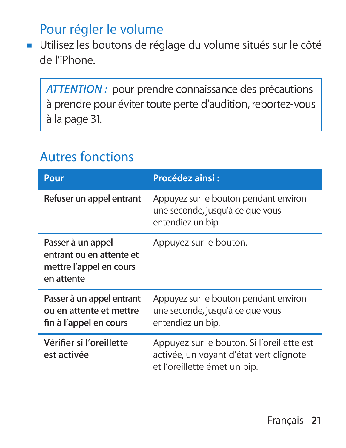## Pour régler le volume

m Utilisez les boutons de réglage du volume situés sur le côté de l'iPhone.

*ATTENTION :* pour prendre connaissance des précautions à prendre pour éviter toute perte d'audition, reportez-vous à la page 31.

## Autres fonctions

| Pour                                                                                   | Procédez ainsi:                                                                                                       |
|----------------------------------------------------------------------------------------|-----------------------------------------------------------------------------------------------------------------------|
| Refuser un appel entrant                                                               | Appuyez sur le bouton pendant environ<br>une seconde, jusqu'à ce que vous<br>entendiez un bip.                        |
| Passer à un appel<br>entrant ou en attente et<br>mettre l'appel en cours<br>en attente | Appuyez sur le bouton.                                                                                                |
| Passer à un appel entrant<br>ou en attente et mettre<br>fin à l'appel en cours         | Appuyez sur le bouton pendant environ<br>une seconde, jusqu'à ce que vous<br>entendiez un bip.                        |
| Vérifier și l'oreillette<br>est activée                                                | Appuyez sur le bouton. Si l'oreillette est<br>activée, un voyant d'état vert clignote<br>et l'oreillette émet un bip. |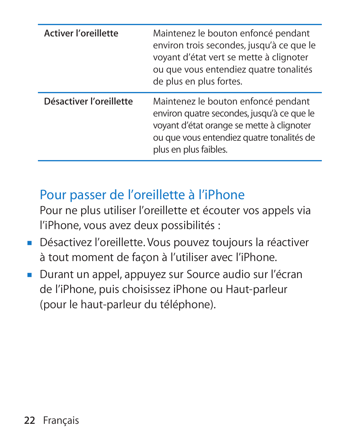| <b>Activer l'oreillette</b> | Maintenez le bouton enfoncé pendant<br>environ trois secondes, jusqu'à ce que le<br>voyant d'état vert se mette à clignoter<br>ou que vous entendiez quatre tonalités<br>de plus en plus fortes.     |
|-----------------------------|------------------------------------------------------------------------------------------------------------------------------------------------------------------------------------------------------|
| Désactiver l'oreillette     | Maintenez le bouton enfoncé pendant<br>environ quatre secondes, jusqu'à ce que le<br>voyant d'état orange se mette à clignoter<br>ou que vous entendiez quatre tonalités de<br>plus en plus faibles. |

## Pour passer de l'oreillette à l'iPhone

Pour ne plus utiliser l'oreillette et écouter vos appels via l'iPhone, vous avez deux possibilités :

- m Désactivez l'oreillette. Vous pouvez toujours la réactiver à tout moment de façon à l'utiliser avec l'iPhone.
- m Durant un appel, appuyez sur Source audio sur l'écran de l'iPhone, puis choisissez iPhone ou Haut-parleur (pour le haut-parleur du téléphone).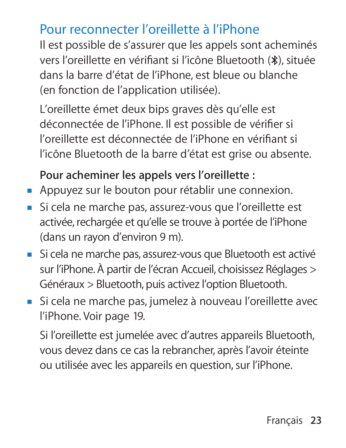## Pour reconnecter l'oreillette à l'iPhone

Il est possible de s'assurer que les appels sont acheminés vers l'oreillette en vérifiant si l'icône Bluetooth (\*), située dans la barre d'état de l'iPhone, est bleue ou blanche (en fonction de l'application utilisée).

L'oreillette émet deux bips graves dès qu'elle est déconnectée de l'iPhone. Il est possible de vérifier si l'oreillette est déconnectée de l'iPhone en vérifi ant si l'icône Bluetooth de la barre d'état est grise ou absente.

#### **Pour acheminer les appels vers l'oreillette :**

- Appuyez sur le bouton pour rétablir une connexion.
- m Si cela ne marche pas, assurez-vous que l'oreillette est activée, rechargée et qu'elle se trouve à portée de l'iPhone (dans un rayon d'environ 9 m).
- m Si cela ne marche pas, assurez-vous que Bluetooth est activé sur l'iPhone. À partir de l'écran Accueil, choisissez Réglages > Généraux > Bluetooth, puis activez l'option Bluetooth.
- m Si cela ne marche pas, jumelez à nouveau l'oreillette avec l'iPhone. Voir page 19.

Si l'oreillette est jumelée avec d'autres appareils Bluetooth, vous devez dans ce cas la rebrancher, après l'avoir éteinte ou utilisée avec les appareils en question, sur l'iPhone.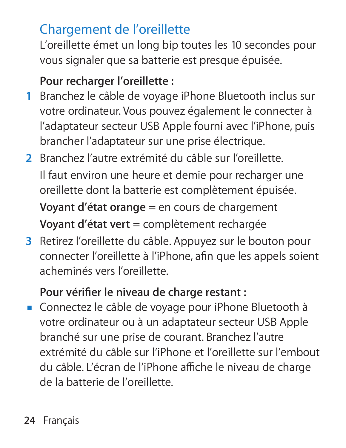## Chargement de l'oreillette

L'oreillette émet un long bip toutes les 10 secondes pour vous signaler que sa batterie est presque épuisée.

#### **Pour recharger l'oreillette :**

- **1** Branchez le câble de voyage iPhone Bluetooth inclus sur votre ordinateur. Vous pouvez également le connecter à l'adaptateur secteur USB Apple fourni avec l'iPhone, puis brancher l'adaptateur sur une prise électrique.
- **2** Branchez l'autre extrémité du câble sur l'oreillette. Il faut environ une heure et demie pour recharger une oreillette dont la batterie est complètement épuisée. **Voyant d'état orange = en cours de chargement Voyant d'état vert** = complètement rechargée
- **3** Retirez l'oreillette du câble. Appuyez sur le bouton pour connecter l'oreillette à l'iPhone, afin que les appels soient acheminés vers l'oreillette.

#### Pour vérifier le niveau de charge restant :

m Connectez le câble de voyage pour iPhone Bluetooth à votre ordinateur ou à un adaptateur secteur USB Apple branché sur une prise de courant. Branchez l'autre extrémité du câble sur l'iPhone et l'oreillette sur l'embout du câble. L'écran de l'iPhone affiche le niveau de charge de la batterie de l'oreillette.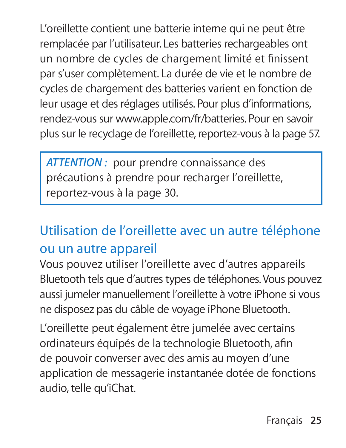L'oreillette contient une batterie interne qui ne peut être remplacée par l'utilisateur. Les batteries rechargeables ont un nombre de cycles de chargement limité et finissent par s'user complètement. La durée de vie et le nombre de cycles de chargement des batteries varient en fonction de leur usage et des réglages utilisés. Pour plus d'informations, rendez-vous sur www.apple.com/fr/batteries. Pour en savoir plus sur le recyclage de l'oreillette, reportez-vous à la page 57.

*ATTENTION :* pour prendre connaissance des précautions à prendre pour recharger l'oreillette, reportez-vous à la page 30.

## Utilisation de l'oreillette avec un autre téléphone ou un autre appareil

Vous pouvez utiliser l'oreillette avec d'autres appareils Bluetooth tels que d'autres types de téléphones. Vous pouvez aussi jumeler manuellement l'oreillette à votre iPhone si vous ne disposez pas du câble de voyage iPhone Bluetooth.

L'oreillette peut également être jumelée avec certains ordinateurs équipés de la technologie Bluetooth, afin de pouvoir converser avec des amis au moyen d'une application de messagerie instantanée dotée de fonctions audio, telle qu'iChat.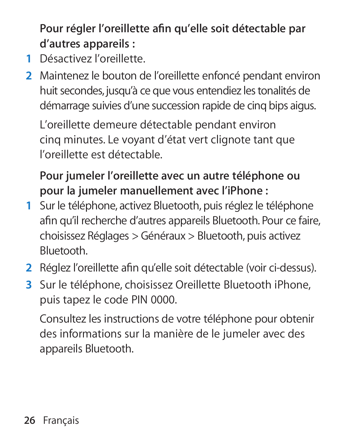Pour régler l'oreillette afin qu'elle soit détectable par **d'autres appareils :**

- **1** Désactivez l'oreillette.
- **2** Maintenez le bouton de l'oreillette enfoncé pendant environ huit secondes, jusqu'à ce que vous entendiez les tonalités de démarrage suivies d'une succession rapide de cinq bips aigus.

L'oreillette demeure détectable pendant environ cinq minutes. Le voyant d'état vert clignote tant que l'oreillette est détectable.

**Pour jumeler l'oreillette avec un autre téléphone ou pour la jumeler manuellement avec l'iPhone :**

- **1** Sur le téléphone, activez Bluetooth, puis réglez le téléphone afin qu'il recherche d'autres appareils Bluetooth. Pour ce faire, choisissez Réglages > Généraux > Bluetooth, puis activez Bluetooth.
- 2 Réglez l'oreillette afin qu'elle soit détectable (voir ci-dessus).
- **3** Sur le téléphone, choisissez Oreillette Bluetooth iPhone, puis tapez le code PIN 0000.

Consultez les instructions de votre téléphone pour obtenir des informations sur la manière de le jumeler avec des appareils Bluetooth.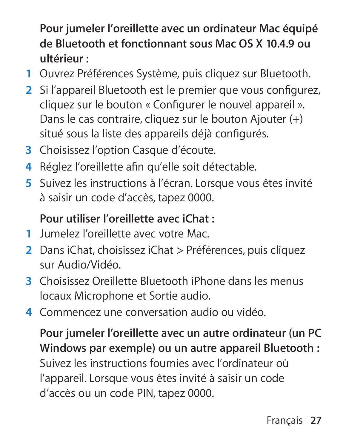**Pour jumeler l'oreillette avec un ordinateur Mac équipé de Bluetooth et fonctionnant sous Mac OS X 10.4.9 ou ultérieur :**

- **1** Ouvrez Préférences Système, puis cliquez sur Bluetooth.
- **2** Si l'appareil Bluetooth est le premier que vous configurez. cliquez sur le bouton « Configurer le nouvel appareil ». Dans le cas contraire, cliquez sur le bouton Ajouter (+) situé sous la liste des appareils déjà configurés.
- **3** Choisissez l'option Casque d'écoute.
- **4** Réglez l'oreillette afin qu'elle soit détectable.
- **5** Suivez les instructions à l'écran. Lorsque vous êtes invité à saisir un code d'accès, tapez 0000.

#### **Pour utiliser l'oreillette avec iChat :**

- **1** Jumelez l'oreillette avec votre Mac.
- **2** Dans iChat, choisissez iChat > Préférences, puis cliquez sur Audio/Vidéo.
- **3** Choisissez Oreillette Bluetooth iPhone dans les menus locaux Microphone et Sortie audio.
- **4** Commencez une conversation audio ou vidéo.

**Pour jumeler l'oreillette avec un autre ordinateur (un PC Windows par exemple) ou un autre appareil Bluetooth :** Suivez les instructions fournies avec l'ordinateur où l'appareil. Lorsque vous êtes invité à saisir un code d'accès ou un code PIN, tapez 0000.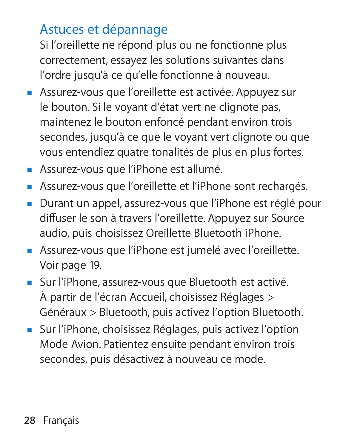# Astuces et dépannage

Si l'oreillette ne répond plus ou ne fonctionne plus correctement, essayez les solutions suivantes dans l'ordre jusqu'à ce qu'elle fonctionne à nouveau.

- m Assurez-vous que l'oreillette est activée. Appuyez sur le bouton. Si le voyant d'état vert ne clignote pas, maintenez le bouton enfoncé pendant environ trois secondes, jusqu'à ce que le voyant vert clignote ou que vous entendiez quatre tonalités de plus en plus fortes.
- m Assurez-vous que l'iPhone est allumé.
- m Assurez-vous que l'oreillette et l'iPhone sont rechargés.
- m Durant un appel, assurez-vous que l'iPhone est réglé pour diffuser le son à travers l'oreillette. Appuyez sur Source audio, puis choisissez Oreillette Bluetooth iPhone.
- m Assurez-vous que l'iPhone est jumelé avec l'oreillette. Voir page 19.
- m Sur l'iPhone, assurez-vous que Bluetooth est activé. À partir de l'écran Accueil, choisissez Réglages > Généraux > Bluetooth, puis activez l'option Bluetooth.
- m Sur l'iPhone, choisissez Réglages, puis activez l'option Mode Avion. Patientez ensuite pendant environ trois secondes, puis désactivez à nouveau ce mode.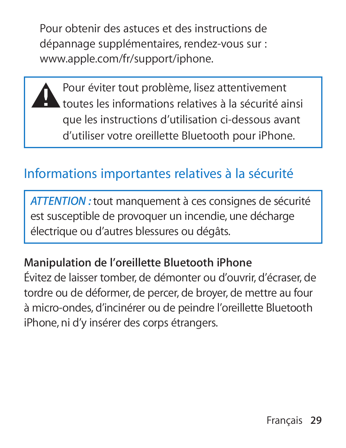Pour obtenir des astuces et des instructions de dépannage supplémentaires, rendez-vous sur : www.apple.com/fr/support/iphone.

**A** Pour éviter tout problème, lisez attentivement<br>toutes les informations relatives à la sécurité ainsi que les instructions d'utilisation ci-dessous avant d'utiliser votre oreillette Bluetooth pour iPhone.

## Informations importantes relatives à la sécurité

*ATTENTION :* tout manquement à ces consignes de sécurité est susceptible de provoquer un incendie, une décharge électrique ou d'autres blessures ou dégâts.

**Manipulation de l'oreillette Bluetooth iPhone** Évitez de laisser tomber, de démonter ou d'ouvrir, d'écraser, de tordre ou de déformer, de percer, de broyer, de mettre au four à micro-ondes, d'incinérer ou de peindre l'oreillette Bluetooth iPhone, ni d'y insérer des corps étrangers.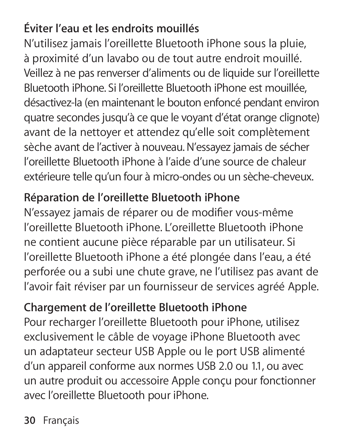## **Éviter l'eau et les endroits mouillés**

N'utilisez jamais l'oreillette Bluetooth iPhone sous la pluie, à proximité d'un lavabo ou de tout autre endroit mouillé. Veillez à ne pas renverser d'aliments ou de liquide sur l'oreillette Bluetooth iPhone. Si l'oreillette Bluetooth iPhone est mouillée, désactivez-la (en maintenant le bouton enfoncé pendant environ quatre secondes jusqu'à ce que le voyant d'état orange clignote) avant de la nettoyer et attendez qu'elle soit complètement sèche avant de l'activer à nouveau. N'essayez jamais de sécher l'oreillette Bluetooth iPhone à l'aide d'une source de chaleur extérieure telle qu'un four à micro-ondes ou un sèche-cheveux.

#### **Réparation de l'oreillette Bluetooth iPhone**

N'essayez jamais de réparer ou de modifier vous-même l'oreillette Bluetooth iPhone. L'oreillette Bluetooth iPhone ne contient aucune pièce réparable par un utilisateur. Si l'oreillette Bluetooth iPhone a été plongée dans l'eau, a été perforée ou a subi une chute grave, ne l'utilisez pas avant de l'avoir fait réviser par un fournisseur de services agréé Apple.

#### **Chargement de l'oreillette Bluetooth iPhone**

Pour recharger l'oreillette Bluetooth pour iPhone, utilisez exclusivement le câble de voyage iPhone Bluetooth avec un adaptateur secteur USB Apple ou le port USB alimenté d'un appareil conforme aux normes USB 2.0 ou 1.1, ou avec un autre produit ou accessoire Apple conçu pour fonctionner avec l'oreillette Bluetooth pour iPhone.

**30** Français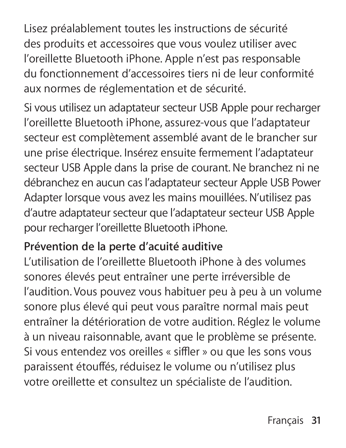Lisez préalablement toutes les instructions de sécurité des produits et accessoires que vous voulez utiliser avec l'oreillette Bluetooth iPhone. Apple n'est pas responsable du fonctionnement d'accessoires tiers ni de leur conformité aux normes de réglementation et de sécurité.

Si vous utilisez un adaptateur secteur USB Apple pour recharger l'oreillette Bluetooth iPhone, assurez-vous que l'adaptateur secteur est complètement assemblé avant de le brancher sur une prise électrique. Insérez ensuite fermement l'adaptateur secteur USB Apple dans la prise de courant. Ne branchez ni ne débranchez en aucun cas l'adaptateur secteur Apple USB Power Adapter lorsque vous avez les mains mouillées. N'utilisez pas d'autre adaptateur secteur que l'adaptateur secteur USB Apple pour recharger l'oreillette Bluetooth iPhone.

#### **Prévention de la perte d'acuité auditive**

L'utilisation de l'oreillette Bluetooth iPhone à des volumes sonores élevés peut entraîner une perte irréversible de l'audition. Vous pouvez vous habituer peu à peu à un volume sonore plus élevé qui peut vous paraître normal mais peut entraîner la détérioration de votre audition. Réglez le volume à un niveau raisonnable, avant que le problème se présente. Si vous entendez vos oreilles « siffler » ou que les sons vous paraissent étouffés, réduisez le volume ou n'utilisez plus votre oreillette et consultez un spécialiste de l'audition.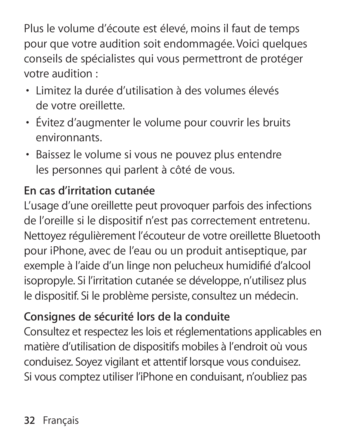Plus le volume d'écoute est élevé, moins il faut de temps pour que votre audition soit endommagée. Voici quelques conseils de spécialistes qui vous permettront de protéger votre audition :

- Â Limitez la durée d'utilisation à des volumes élevés de votre oreillette.
- Â Évitez d'augmenter le volume pour couvrir les bruits environnants.
- Â Baissez le volume si vous ne pouvez plus entendre les personnes qui parlent à côté de vous.

#### **En cas d'irritation cutanée**

L'usage d'une oreillette peut provoquer parfois des infections de l'oreille si le dispositif n'est pas correctement entretenu. Nettoyez régulièrement l'écouteur de votre oreillette Bluetooth pour iPhone, avec de l'eau ou un produit antiseptique, par exemple à l'aide d'un linge non pelucheux humidifié d'alcool isopropyle. Si l'irritation cutanée se développe, n'utilisez plus le dispositif. Si le problème persiste, consultez un médecin.

## **Consignes de sécurité lors de la conduite**

Consultez et respectez les lois et réglementations applicables en matière d'utilisation de dispositifs mobiles à l'endroit où vous conduisez. Soyez vigilant et attentif lorsque vous conduisez. Si vous comptez utiliser l'iPhone en conduisant, n'oubliez pas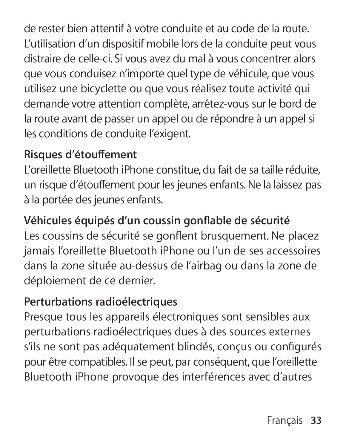de rester bien attentif à votre conduite et au code de la route. L'utilisation d'un dispositif mobile lors de la conduite peut vous distraire de celle-ci. Si vous avez du mal à vous concentrer alors que vous conduisez n'importe quel type de véhicule, que vous utilisez une bicyclette ou que vous réalisez toute activité qui demande votre attention complète, arrêtez-vous sur le bord de la route avant de passer un appel ou de répondre à un appel si les conditions de conduite l'exigent.

#### **Risques d'étou∂ ement**

L'oreillette Bluetooth iPhone constitue, du fait de sa taille réduite, un risque d'étouffement pour les jeunes enfants. Ne la laissez pas à la portée des jeunes enfants.

**Véhicules équipés d'un coussin gonfl able de sécurité** Les coussins de sécurité se gonflent brusquement. Ne placez jamais l'oreillette Bluetooth iPhone ou l'un de ses accessoires

dans la zone située au-dessus de l'airbag ou dans la zone de déploiement de ce dernier.

#### **Perturbations radioélectriques**

Presque tous les appareils électroniques sont sensibles aux perturbations radioélectriques dues à des sources externes s'ils ne sont pas adéquatement blindés, conçus ou configurés pour être compatibles. Il se peut, par conséquent, que l'oreillette Bluetooth iPhone provoque des interférences avec d'autres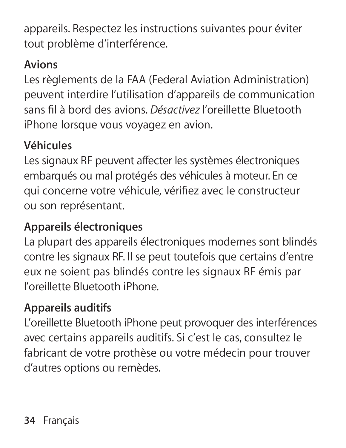appareils. Respectez les instructions suivantes pour éviter tout problème d'interférence.

#### **Avions**

Les règlements de la FAA (Federal Aviation Administration) peuvent interdire l'utilisation d'appareils de communication sans fi l à bord des avions. *Désactivez* l'oreillette Bluetooth iPhone lorsque vous voyagez en avion.

#### **Véhicules**

Les signaux RF peuvent affecter les systèmes électroniques embarqués ou mal protégés des véhicules à moteur. En ce qui concerne votre véhicule, vérifiez avec le constructeur ou son représentant.

#### **Appareils électroniques**

La plupart des appareils électroniques modernes sont blindés contre les signaux RF. Il se peut toutefois que certains d'entre eux ne soient pas blindés contre les signaux RF émis par l'oreillette Bluetooth iPhone.

#### **Appareils auditifs**

L'oreillette Bluetooth iPhone peut provoquer des interférences avec certains appareils auditifs. Si c'est le cas, consultez le fabricant de votre prothèse ou votre médecin pour trouver d'autres options ou remèdes.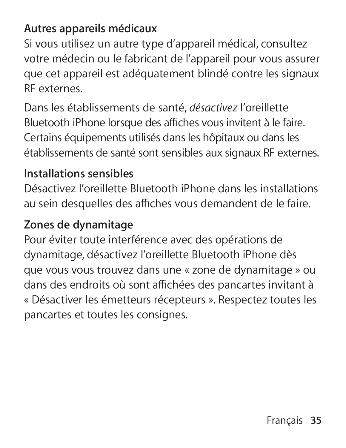#### **Autres appareils médicaux**

Si vous utilisez un autre type d'appareil médical, consultez votre médecin ou le fabricant de l'appareil pour vous assurer que cet appareil est adéquatement blindé contre les signaux RF externes.

Dans les établissements de santé, *désactivez* l'oreillette Bluetooth iPhone lorsque des affiches vous invitent à le faire. Certains équipements utilisés dans les hôpitaux ou dans les établissements de santé sont sensibles aux signaux RF externes.

#### **Installations sensibles**

Désactivez l'oreillette Bluetooth iPhone dans les installations au sein desquelles des affiches vous demandent de le faire.

#### **Zones de dynamitage**

Pour éviter toute interférence avec des opérations de dynamitage, désactivez l'oreillette Bluetooth iPhone dès que vous vous trouvez dans une « zone de dynamitage » ou dans des endroits où sont affichées des pancartes invitant à « Désactiver les émetteurs récepteurs ». Respectez toutes les pancartes et toutes les consignes.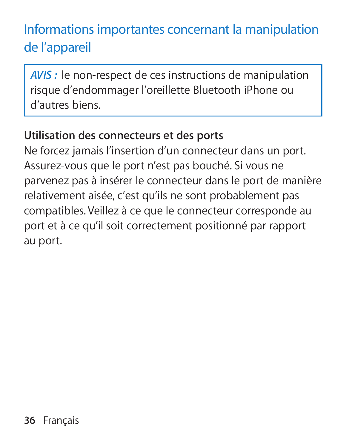# Informations importantes concernant la manipulation de l'appareil

*AVIS :* le non-respect de ces instructions de manipulation risque d'endommager l'oreillette Bluetooth iPhone ou d'autres biens.

#### **Utilisation des connecteurs et des ports**

Ne forcez jamais l'insertion d'un connecteur dans un port. Assurez-vous que le port n'est pas bouché. Si vous ne parvenez pas à insérer le connecteur dans le port de manière relativement aisée, c'est qu'ils ne sont probablement pas compatibles. Veillez à ce que le connecteur corresponde au port et à ce qu'il soit correctement positionné par rapport au port.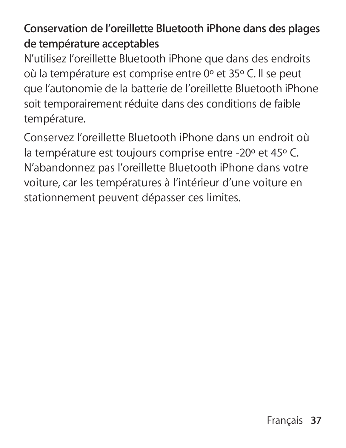## **Conservation de l'oreillette Bluetooth iPhone dans des plages de température acceptables**

N'utilisez l'oreillette Bluetooth iPhone que dans des endroits où la température est comprise entre 0º et 35º C. Il se peut que l'autonomie de la batterie de l'oreillette Bluetooth iPhone soit temporairement réduite dans des conditions de faible température.

Conservez l'oreillette Bluetooth iPhone dans un endroit où la température est toujours comprise entre -20º et 45º C. N'abandonnez pas l'oreillette Bluetooth iPhone dans votre voiture, car les températures à l'intérieur d'une voiture en stationnement peuvent dépasser ces limites.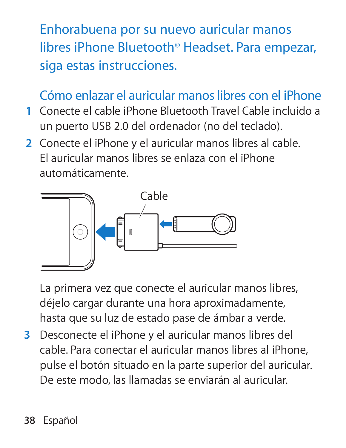Enhorabuena por su nuevo auricular manos libres iPhone Bluetooth® Headset. Para empezar, siga estas instrucciones.

## Cómo enlazar el auricular manos libres con el iPhone

- **1** Conecte el cable iPhone Bluetooth Travel Cable incluido a un puerto USB 2.0 del ordenador (no del teclado).
- **2** Conecte el iPhone y el auricular manos libres al cable. El auricular manos libres se enlaza con el iPhone automáticamente.



La primera vez que conecte el auricular manos libres, déjelo cargar durante una hora aproximadamente, hasta que su luz de estado pase de ámbar a verde.

**3** Desconecte el iPhone y el auricular manos libres del cable. Para conectar el auricular manos libres al iPhone, pulse el botón situado en la parte superior del auricular. De este modo, las llamadas se enviarán al auricular.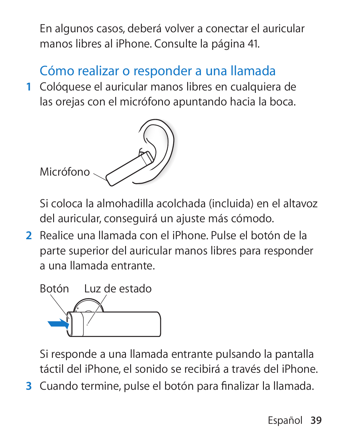En algunos casos, deberá volver a conectar el auricular manos libres al iPhone. Consulte la página 41.

## Cómo realizar o responder a una llamada

 **1** Colóquese el auricular manos libres en cualquiera de las orejas con el micrófono apuntando hacia la boca.



Si coloca la almohadilla acolchada (incluida) en el altavoz del auricular, conseguirá un ajuste más cómodo.

 **2** Realice una llamada con el iPhone. Pulse el botón de la parte superior del auricular manos libres para responder a una llamada entrante.



Si responde a una llamada entrante pulsando la pantalla táctil del iPhone, el sonido se recibirá a través del iPhone.

**3** Cuando termine, pulse el botón para finalizar la llamada.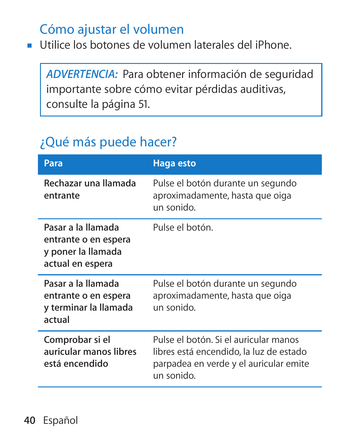## Cómo ajustar el volumen

m Utilice los botones de volumen laterales del iPhone.

*ADVERTENCIA:* Para obtener información de seguridad importante sobre cómo evitar pérdidas auditivas, consulte la página 51.

## ¿Qué más puede hacer?

| Para                                                                                 | <b>Haga</b> esto                                                                                                                         |
|--------------------------------------------------------------------------------------|------------------------------------------------------------------------------------------------------------------------------------------|
| Rechazar una llamada<br>entrante                                                     | Pulse el botón durante un segundo<br>aproximadamente, hasta que oiga<br>un sonido.                                                       |
| Pasar a la llamada<br>entrante o en espera<br>y poner la llamada<br>actual en espera | Pulse el botón.                                                                                                                          |
| Pasar a la llamada<br>entrante o en espera<br>y terminar la llamada<br>actual        | Pulse el botón durante un segundo<br>aproximadamente, hasta que oiga<br>un sonido.                                                       |
| Comprobar si el<br>auricular manos libres<br>está encendido                          | Pulse el botón. Si el auricular manos<br>libres está encendido, la luz de estado<br>parpadea en verde y el auricular emite<br>un sonido. |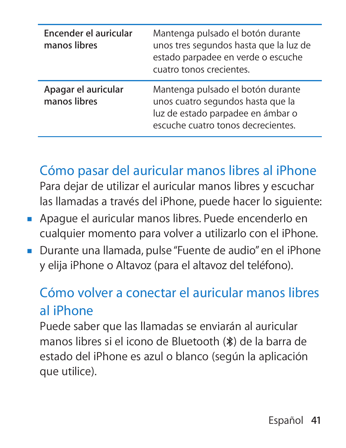| Encender el auricular<br>manos libres | Mantenga pulsado el botón durante<br>unos tres segundos hasta que la luz de<br>estado parpadee en verde o escuche<br>cuatro tonos crecientes.     |
|---------------------------------------|---------------------------------------------------------------------------------------------------------------------------------------------------|
| Apagar el auricular<br>manos libres   | Mantenga pulsado el botón durante<br>unos cuatro segundos hasta que la<br>luz de estado parpadee en ámbar o<br>escuche cuatro tonos decrecientes. |

Cómo pasar del auricular manos libres al iPhone Para dejar de utilizar el auricular manos libres y escuchar las llamadas a través del iPhone, puede hacer lo siguiente:

- m Apague el auricular manos libres. Puede encenderlo en cualquier momento para volver a utilizarlo con el iPhone.
- m Durante una llamada, pulse "Fuente de audio" en el iPhone y elija iPhone o Altavoz (para el altavoz del teléfono).

## Cómo volver a conectar el auricular manos libres al iPhone

Puede saber que las llamadas se enviarán al auricular manos libres si el icono de Bluetooth (◊) de la barra de estado del iPhone es azul o blanco (según la aplicación que utilice).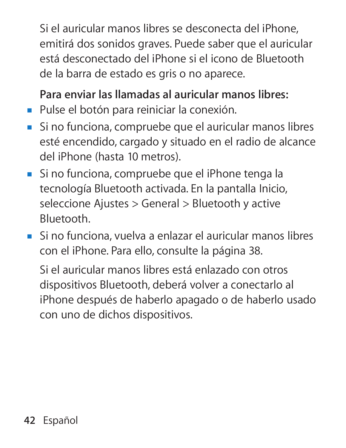Si el auricular manos libres se desconecta del iPhone, emitirá dos sonidos graves. Puede saber que el auricular está desconectado del iPhone si el icono de Bluetooth de la barra de estado es gris o no aparece.

**Para enviar las llamadas al auricular manos libres:**

- m Pulse el botón para reiniciar la conexión.
- m Si no funciona, compruebe que el auricular manos libres esté encendido, cargado y situado en el radio de alcance del iPhone (hasta 10 metros).
- m Si no funciona, compruebe que el iPhone tenga la tecnología Bluetooth activada. En la pantalla Inicio, seleccione Ajustes > General > Bluetooth y active Bluetooth.
- m Si no funciona, vuelva a enlazar el auricular manos libres con el iPhone. Para ello, consulte la página 38.

Si el auricular manos libres está enlazado con otros dispositivos Bluetooth, deberá volver a conectarlo al iPhone después de haberlo apagado o de haberlo usado con uno de dichos dispositivos.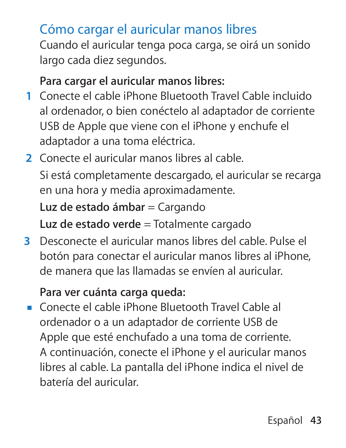## Cómo cargar el auricular manos libres

Cuando el auricular tenga poca carga, se oirá un sonido largo cada diez segundos.

#### **Para cargar el auricular manos libres:**

- **1** Conecte el cable iPhone Bluetooth Travel Cable incluido al ordenador, o bien conéctelo al adaptador de corriente USB de Apple que viene con el iPhone y enchufe el adaptador a una toma eléctrica.
- **2** Conecte el auricular manos libres al cable. Si está completamente descargado, el auricular se recarga en una hora y media aproximadamente. **Luz de estado ámbar = Cargando Luz de estado verde** = Totalmente cargado
- **3** Desconecte el auricular manos libres del cable. Pulse el botón para conectar el auricular manos libres al iPhone, de manera que las llamadas se envíen al auricular.

#### **Para ver cuánta carga queda:**

m Conecte el cable iPhone Bluetooth Travel Cable al ordenador o a un adaptador de corriente USB de Apple que esté enchufado a una toma de corriente. A continuación, conecte el iPhone y el auricular manos libres al cable. La pantalla del iPhone indica el nivel de batería del auricular.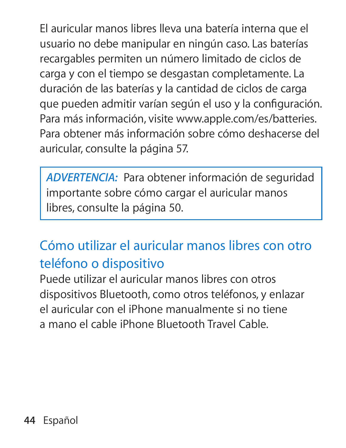El auricular manos libres lleva una batería interna que el usuario no debe manipular en ningún caso. Las baterías recargables permiten un número limitado de ciclos de carga y con el tiempo se desgastan completamente. La duración de las baterías y la cantidad de ciclos de carga que pueden admitir varían según el uso y la configuración. Para más información, visite www.apple.com/es/batteries. Para obtener más información sobre cómo deshacerse del auricular, consulte la página 57.

*ADVERTENCIA:* Para obtener información de seguridad importante sobre cómo cargar el auricular manos libres, consulte la página 50.

# Cómo utilizar el auricular manos libres con otro teléfono o dispositivo

Puede utilizar el auricular manos libres con otros dispositivos Bluetooth, como otros teléfonos, y enlazar el auricular con el iPhone manualmente si no tiene a mano el cable iPhone Bluetooth Travel Cable.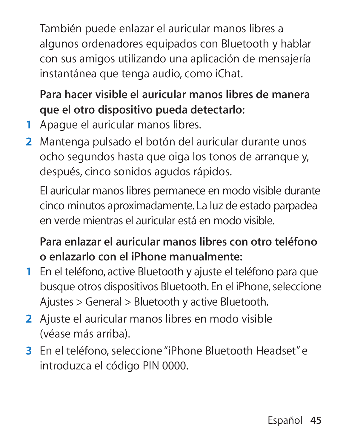También puede enlazar el auricular manos libres a algunos ordenadores equipados con Bluetooth y hablar con sus amigos utilizando una aplicación de mensajería instantánea que tenga audio, como iChat.

**Para hacer visible el auricular manos libres de manera que el otro dispositivo pueda detectarlo:**

- **1** Apague el auricular manos libres.
- **2** Mantenga pulsado el botón del auricular durante unos ocho segundos hasta que oiga los tonos de arranque y, después, cinco sonidos agudos rápidos.

El auricular manos libres permanece en modo visible durante cinco minutos aproximadamente. La luz de estado parpadea en verde mientras el auricular está en modo visible.

**Para enlazar el auricular manos libres con otro teléfono o enlazarlo con el iPhone manualmente:**

- **1** En el teléfono, active Bluetooth y ajuste el teléfono para que busque otros dispositivos Bluetooth. En el iPhone, seleccione Ajustes > General > Bluetooth y active Bluetooth.
- **2** Ajuste el auricular manos libres en modo visible (véase más arriba).
- **3** En el teléfono, seleccione "iPhone Bluetooth Headset" e introduzca el código PIN 0000.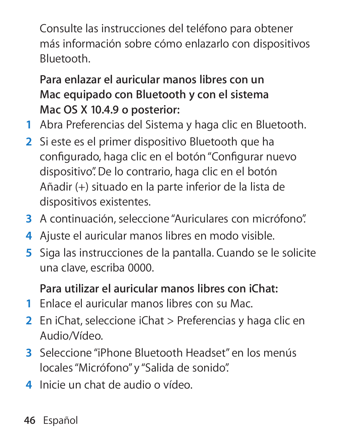Consulte las instrucciones del teléfono para obtener más información sobre cómo enlazarlo con dispositivos Bluetooth.

**Para enlazar el auricular manos libres con un Mac equipado con Bluetooth y con el sistema Mac OS X 10.4.9 o posterior:**

- **1** Abra Preferencias del Sistema y haga clic en Bluetooth.
- **2** Si este es el primer dispositivo Bluetooth que ha configurado, haga clic en el botón "Configurar nuevo dispositivo". De lo contrario, haga clic en el botón Añadir (+) situado en la parte inferior de la lista de dispositivos existentes.
- **3** A continuación, seleccione "Auriculares con micrófono".
- **4** Ajuste el auricular manos libres en modo visible.
- **5** Siga las instrucciones de la pantalla. Cuando se le solicite una clave, escriba 0000.

#### **Para utilizar el auricular manos libres con iChat:**

- **1** Enlace el auricular manos libres con su Mac.
- **2** En iChat, seleccione iChat > Preferencias y haga clic en Audio/Vídeo.
- **3** Seleccione "iPhone Bluetooth Headset" en los menús locales "Micrófono" y "Salida de sonido".
- **4** Inicie un chat de audio o vídeo.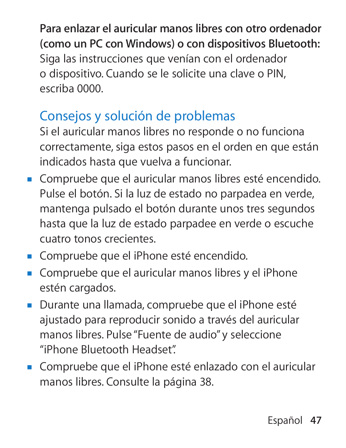**Para enlazar el auricular manos libres con otro ordenador (como un PC con Windows) o con dispositivos Bluetooth:** Siga las instrucciones que venían con el ordenador o dispositivo. Cuando se le solicite una clave o PIN, escriba 0000.

## Consejos y solución de problemas

Si el auricular manos libres no responde o no funciona correctamente, siga estos pasos en el orden en que están indicados hasta que vuelva a funcionar.

- m Compruebe que el auricular manos libres esté encendido. Pulse el botón. Si la luz de estado no parpadea en verde, mantenga pulsado el botón durante unos tres segundos hasta que la luz de estado parpadee en verde o escuche cuatro tonos crecientes.
- m Compruebe que el iPhone esté encendido.
- m Compruebe que el auricular manos libres y el iPhone estén cargados.
- m Durante una llamada, compruebe que el iPhone esté ajustado para reproducir sonido a través del auricular manos libres. Pulse "Fuente de audio" y seleccione "iPhone Bluetooth Headset".
- m Compruebe que el iPhone esté enlazado con el auricular manos libres. Consulte la página 38.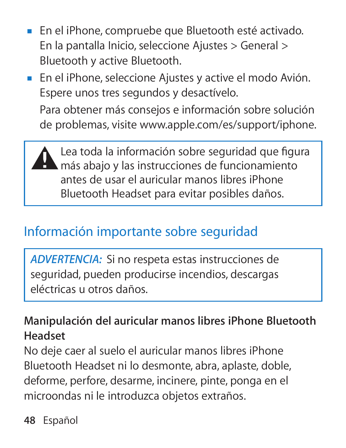- m En el iPhone, compruebe que Bluetooth esté activado. En la pantalla Inicio, seleccione Ajustes > General > Bluetooth y active Bluetooth.
- m En el iPhone, seleccione Ajustes y active el modo Avión. Espere unos tres segundos y desactívelo.

Para obtener más consejos e información sobre solución de problemas, visite www.apple.com/es/support/iphone.

Lea toda la información sobre seguridad que figura<br>
más abajo y las instrucciones de funcionamiento antes de usar el auricular manos libres iPhone Bluetooth Headset para evitar posibles daños.

## Información importante sobre seguridad

*ADVERTENCIA:* Si no respeta estas instrucciones de seguridad, pueden producirse incendios, descargas eléctricas u otros daños.

**Manipulación del auricular manos libres iPhone Bluetooth Headset**

No deje caer al suelo el auricular manos libres iPhone Bluetooth Headset ni lo desmonte, abra, aplaste, doble, deforme, perfore, desarme, incinere, pinte, ponga en el microondas ni le introduzca objetos extraños.

**48** Español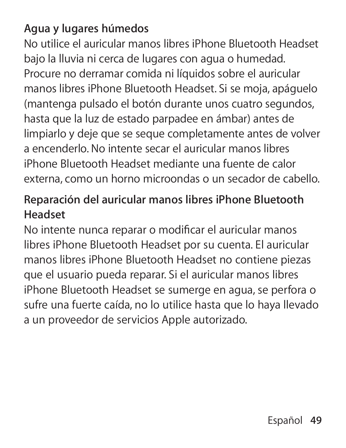#### **Agua y lugares húmedos**

No utilice el auricular manos libres iPhone Bluetooth Headset bajo la lluvia ni cerca de lugares con agua o humedad. Procure no derramar comida ni líquidos sobre el auricular manos libres iPhone Bluetooth Headset. Si se moja, apáguelo (mantenga pulsado el botón durante unos cuatro segundos, hasta que la luz de estado parpadee en ámbar) antes de limpiarlo y deje que se seque completamente antes de volver a encenderlo. No intente secar el auricular manos libres iPhone Bluetooth Headset mediante una fuente de calor externa, como un horno microondas o un secador de cabello.

#### **Reparación del auricular manos libres iPhone Bluetooth Headset**

No intente nunca reparar o modificar el auricular manos libres iPhone Bluetooth Headset por su cuenta. El auricular manos libres iPhone Bluetooth Headset no contiene piezas que el usuario pueda reparar. Si el auricular manos libres iPhone Bluetooth Headset se sumerge en agua, se perfora o sufre una fuerte caída, no lo utilice hasta que lo haya llevado a un proveedor de servicios Apple autorizado.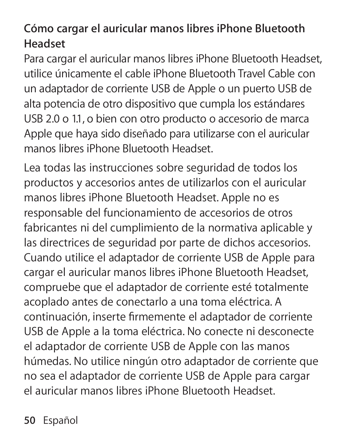#### **Cómo cargar el auricular manos libres iPhone Bluetooth Headset**

Para cargar el auricular manos libres iPhone Bluetooth Headset, utilice únicamente el cable iPhone Bluetooth Travel Cable con un adaptador de corriente USB de Apple o un puerto USB de alta potencia de otro dispositivo que cumpla los estándares USB 2.0 o 1.1, o bien con otro producto o accesorio de marca Apple que haya sido diseñado para utilizarse con el auricular manos libres iPhone Bluetooth Headset.

Lea todas las instrucciones sobre seguridad de todos los productos y accesorios antes de utilizarlos con el auricular manos libres iPhone Bluetooth Headset. Apple no es responsable del funcionamiento de accesorios de otros fabricantes ni del cumplimiento de la normativa aplicable y las directrices de seguridad por parte de dichos accesorios. Cuando utilice el adaptador de corriente USB de Apple para cargar el auricular manos libres iPhone Bluetooth Headset, compruebe que el adaptador de corriente esté totalmente acoplado antes de conectarlo a una toma eléctrica. A continuación, inserte firmemente el adaptador de corriente USB de Apple a la toma eléctrica. No conecte ni desconecte el adaptador de corriente USB de Apple con las manos húmedas. No utilice ningún otro adaptador de corriente que no sea el adaptador de corriente USB de Apple para cargar el auricular manos libres iPhone Bluetooth Headset.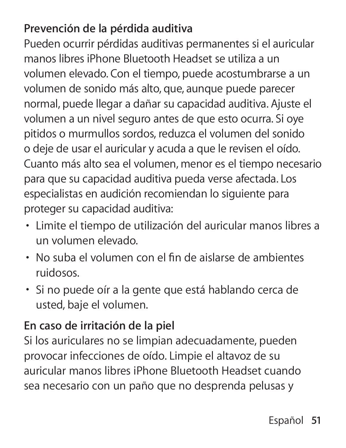#### **Prevención de la pérdida auditiva**

Pueden ocurrir pérdidas auditivas permanentes si el auricular manos libres iPhone Bluetooth Headset se utiliza a un volumen elevado. Con el tiempo, puede acostumbrarse a un volumen de sonido más alto, que, aunque puede parecer normal, puede llegar a dañar su capacidad auditiva. Ajuste el volumen a un nivel seguro antes de que esto ocurra. Si oye pitidos o murmullos sordos, reduzca el volumen del sonido o deje de usar el auricular y acuda a que le revisen el oído. Cuanto más alto sea el volumen, menor es el tiempo necesario para que su capacidad auditiva pueda verse afectada. Los especialistas en audición recomiendan lo siguiente para proteger su capacidad auditiva:

- Â Limite el tiempo de utilización del auricular manos libres a un volumen elevado.
- · No suba el volumen con el fin de aislarse de ambientes ruidosos.
- Â Si no puede oír a la gente que está hablando cerca de usted, baje el volumen.

#### **En caso de irritación de la piel**

Si los auriculares no se limpian adecuadamente, pueden provocar infecciones de oído. Limpie el altavoz de su auricular manos libres iPhone Bluetooth Headset cuando sea necesario con un paño que no desprenda pelusas y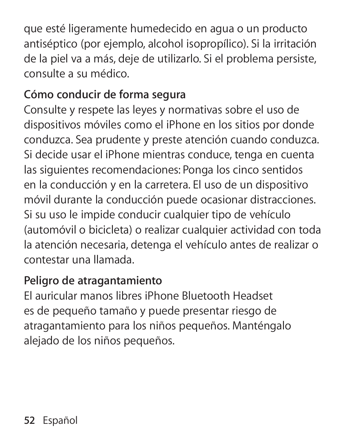que esté ligeramente humedecido en agua o un producto antiséptico (por ejemplo, alcohol isopropílico). Si la irritación de la piel va a más, deje de utilizarlo. Si el problema persiste, consulte a su médico.

#### **Cómo conducir de forma segura**

Consulte y respete las leyes y normativas sobre el uso de dispositivos móviles como el iPhone en los sitios por donde conduzca. Sea prudente y preste atención cuando conduzca. Si decide usar el iPhone mientras conduce, tenga en cuenta las siguientes recomendaciones: Ponga los cinco sentidos en la conducción y en la carretera. El uso de un dispositivo móvil durante la conducción puede ocasionar distracciones. Si su uso le impide conducir cualquier tipo de vehículo (automóvil o bicicleta) o realizar cualquier actividad con toda la atención necesaria, detenga el vehículo antes de realizar o contestar una llamada.

#### **Peligro de atragantamiento**

El auricular manos libres iPhone Bluetooth Headset es de pequeño tamaño y puede presentar riesgo de atragantamiento para los niños pequeños. Manténgalo alejado de los niños pequeños.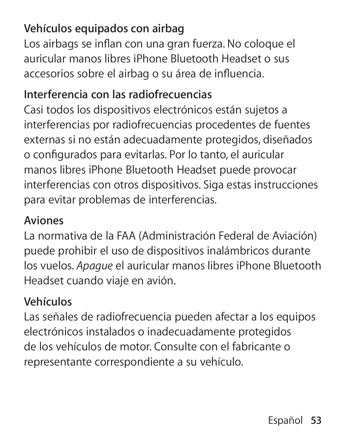#### **Vehículos equipados con airbag**

Los airbags se inflan con una gran fuerza. No coloque el auricular manos libres iPhone Bluetooth Headset o sus accesorios sobre el airbag o su área de influencia.

#### **Interferencia con las radiofrecuencias**

Casi todos los dispositivos electrónicos están sujetos a interferencias por radiofrecuencias procedentes de fuentes externas si no están adecuadamente protegidos, diseñados o configurados para evitarlas. Por lo tanto, el auricular manos libres iPhone Bluetooth Headset puede provocar interferencias con otros dispositivos. Siga estas instrucciones para evitar problemas de interferencias.

#### **Aviones**

La normativa de la FAA (Administración Federal de Aviación) puede prohibir el uso de dispositivos inalámbricos durante los vuelos. *Apague* el auricular manos libres iPhone Bluetooth Headset cuando viaje en avión.

#### **Vehículos**

Las señales de radiofrecuencia pueden afectar a los equipos electrónicos instalados o inadecuadamente protegidos de los vehículos de motor. Consulte con el fabricante o representante correspondiente a su vehículo.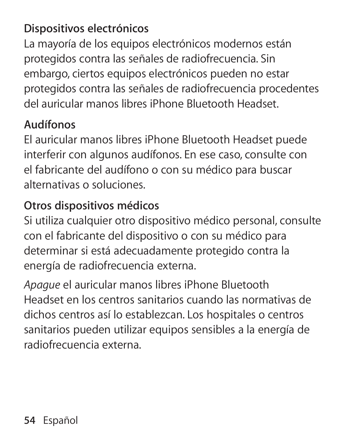#### **Dispositivos electrónicos**

La mayoría de los equipos electrónicos modernos están protegidos contra las señales de radiofrecuencia. Sin embargo, ciertos equipos electrónicos pueden no estar protegidos contra las señales de radiofrecuencia procedentes del auricular manos libres iPhone Bluetooth Headset.

#### **Audífonos**

El auricular manos libres iPhone Bluetooth Headset puede interferir con algunos audífonos. En ese caso, consulte con el fabricante del audífono o con su médico para buscar alternativas o soluciones.

#### **Otros dispositivos médicos**

Si utiliza cualquier otro dispositivo médico personal, consulte con el fabricante del dispositivo o con su médico para determinar si está adecuadamente protegido contra la energía de radiofrecuencia externa.

*Apague* el auricular manos libres iPhone Bluetooth Headset en los centros sanitarios cuando las normativas de dichos centros así lo establezcan. Los hospitales o centros sanitarios pueden utilizar equipos sensibles a la energía de radiofrecuencia externa.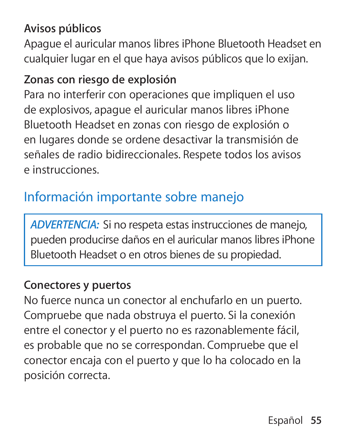#### **Avisos públicos**

Apague el auricular manos libres iPhone Bluetooth Headset en cualquier lugar en el que haya avisos públicos que lo exijan.

#### **Zonas con riesgo de explosión**

Para no interferir con operaciones que impliquen el uso de explosivos, apague el auricular manos libres iPhone Bluetooth Headset en zonas con riesgo de explosión o en lugares donde se ordene desactivar la transmisión de señales de radio bidireccionales. Respete todos los avisos e instrucciones.

## Información importante sobre manejo

*ADVERTENCIA:* Si no respeta estas instrucciones de manejo, pueden producirse daños en el auricular manos libres iPhone Bluetooth Headset o en otros bienes de su propiedad.

#### **Conectores y puertos**

No fuerce nunca un conector al enchufarlo en un puerto. Compruebe que nada obstruya el puerto. Si la conexión entre el conector y el puerto no es razonablemente fácil, es probable que no se correspondan. Compruebe que el conector encaja con el puerto y que lo ha colocado en la posición correcta.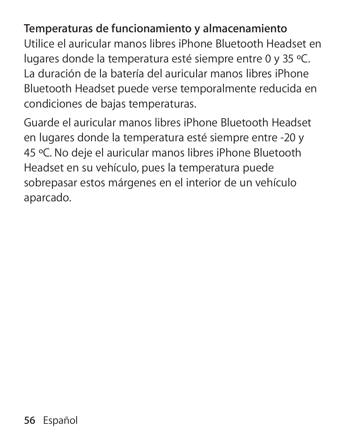**Temperaturas de funcionamiento y almacenamiento** Utilice el auricular manos libres iPhone Bluetooth Headset en lugares donde la temperatura esté siempre entre 0 y 35 ºC. La duración de la batería del auricular manos libres iPhone Bluetooth Headset puede verse temporalmente reducida en condiciones de bajas temperaturas.

Guarde el auricular manos libres iPhone Bluetooth Headset en lugares donde la temperatura esté siempre entre -20 y 45 ºC. No deje el auricular manos libres iPhone Bluetooth Headset en su vehículo, pues la temperatura puede sobrepasar estos márgenes en el interior de un vehículo aparcado.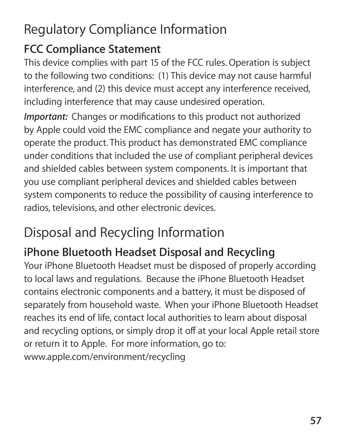# Regulatory Compliance Information

#### **FCC Compliance Statement**

This device complies with part 15 of the FCC rules. Operation is subject to the following two conditions: (1) This device may not cause harmful interference, and (2) this device must accept any interference received, including interference that may cause undesired operation.

*Important:* Changes or modifications to this product not authorized by Apple could void the EMC compliance and negate your authority to operate the product. This product has demonstrated EMC compliance under conditions that included the use of compliant peripheral devices and shielded cables between system components. It is important that you use compliant peripheral devices and shielded cables between system components to reduce the possibility of causing interference to radios, televisions, and other electronic devices.

# Disposal and Recycling Information

## **iPhone Bluetooth Headset Disposal and Recycling**

Your iPhone Bluetooth Headset must be disposed of properly according to local laws and regulations. Because the iPhone Bluetooth Headset contains electronic components and a battery, it must be disposed of separately from household waste. When your iPhone Bluetooth Headset reaches its end of life, contact local authorities to learn about disposal and recycling options, or simply drop it off at your local Apple retail store or return it to Apple. For more information, go to: www.apple.com/environment/recycling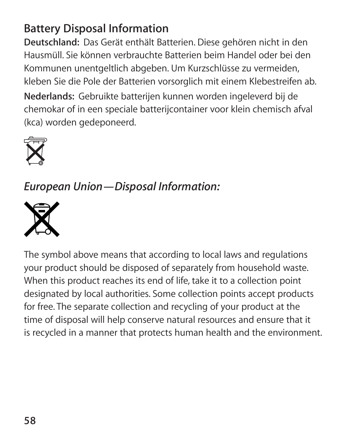#### **Battery Disposal Information**

**Deutschland:**Das Gerät enthält Batterien. Diese gehören nicht in den Hausmüll. Sie können verbrauchte Batterien beim Handel oder bei den Kommunen unentgeltlich abgeben. Um Kurzschlüsse zu vermeiden, kleben Sie die Pole der Batterien vorsorglich mit einem Klebestreifen ab.

**Nederlands:**Gebruikte batterijen kunnen worden ingeleverd bij de chemokar of in een speciale batterijcontainer voor klein chemisch afval (kca) worden gedeponeerd.



*European Union—Disposal Information:* 



The symbol above means that according to local laws and regulations your product should be disposed of separately from household waste. When this product reaches its end of life, take it to a collection point designated by local authorities. Some collection points accept products for free. The separate collection and recycling of your product at the time of disposal will help conserve natural resources and ensure that it is recycled in a manner that protects human health and the environment.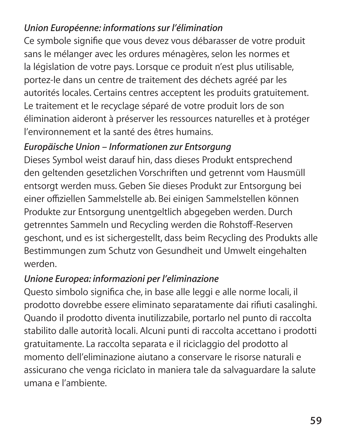#### *Union Européenne: informations sur l'élimination*

Ce symbole signifie que vous devez vous débarasser de votre produit sans le mélanger avec les ordures ménagères, selon les normes et la législation de votre pays. Lorsque ce produit n'est plus utilisable, portez-le dans un centre de traitement des déchets agréé par les autorités locales. Certains centres acceptent les produits gratuitement. Le traitement et le recyclage séparé de votre produit lors de son élimination aideront à préserver les ressources naturelles et à protéger l'environnement et la santé des êtres humains.

#### *Europäische Union – Informationen zur Entsorgung*

Dieses Symbol weist darauf hin, dass dieses Produkt entsprechend den geltenden gesetzlichen Vorschriften und getrennt vom Hausmüll entsorgt werden muss. Geben Sie dieses Produkt zur Entsorgung bei einer offiziellen Sammelstelle ab. Bei einigen Sammelstellen können Produkte zur Entsorgung unentgeltlich abgegeben werden. Durch getrenntes Sammeln und Recycling werden die Rohstoff-Reserven geschont, und es ist sichergestellt, dass beim Recycling des Produkts alle Bestimmungen zum Schutz von Gesundheit und Umwelt eingehalten werden.

#### *Unione Europea: informazioni per l'eliminazione*

Questo simbolo significa che, in base alle leggi e alle norme locali, il prodotto dovrebbe essere eliminato separatamente dai rifiuti casalinghi. Quando il prodotto diventa inutilizzabile, portarlo nel punto di raccolta stabilito dalle autorità locali. Alcuni punti di raccolta accettano i prodotti gratuitamente. La raccolta separata e il riciclaggio del prodotto al momento dell'eliminazione aiutano a conservare le risorse naturali e assicurano che venga riciclato in maniera tale da salvaguardare la salute umana e l'ambiente.